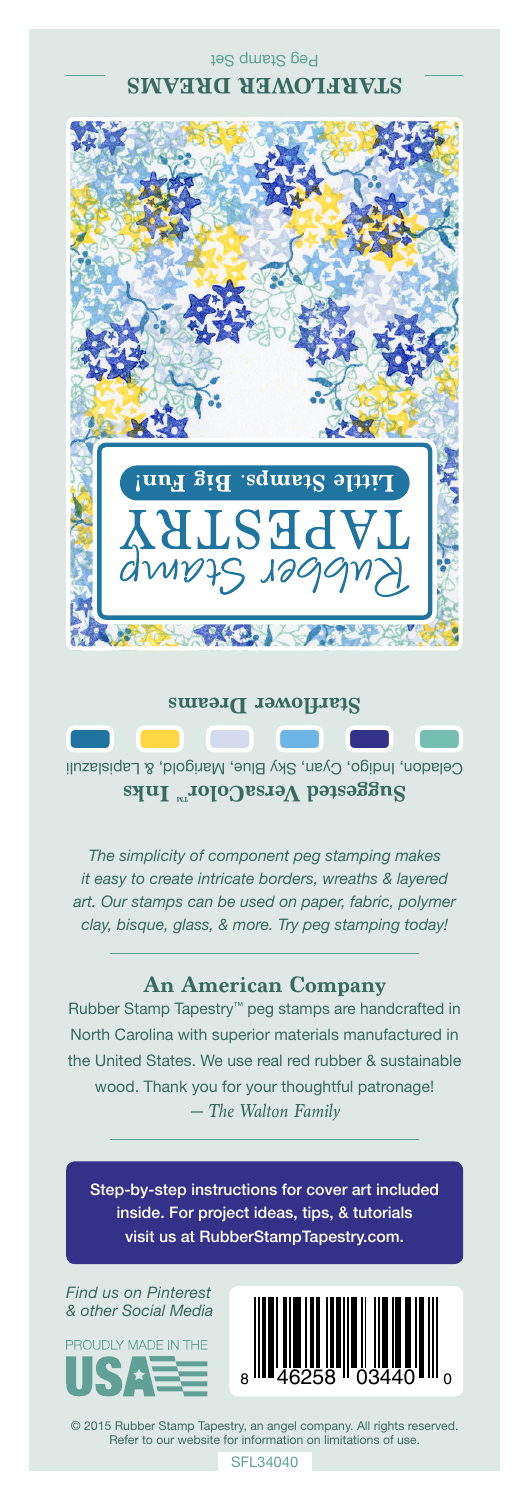Peg Stamp Set **STARFLOWER DREAMS**



## **Starflower Dreams**

Celadon, Indigo, Cyan, Sky Blue, Marigold, & Lapislazuli **Suggested VersaColor** Inks

*The simplicity of component peg stamping makes it easy to create intricate borders, wreaths & layered art. Our stamps can be used on paper, fabric, polymer clay, bisque, glass, & more. Try peg stamping today!*

## **An American Company**

*— The Walton Family* Rubber Stamp Tapestry™ peg stamps are handcrafted in North Carolina with superior materials manufactured in the United States. We use real red rubber & sustainable wood. Thank you for your thoughtful patronage!

Step-by-step instructions for cover art included inside. For project ideas, tips, & tutorials visit us at RubberStampTapestry.com.

*Find us on Pinterest & other Social Media*





© 2015 Rubber Stamp Tapestry, an angel company. All rights reserved. Refer to our website for information on limitations of use.